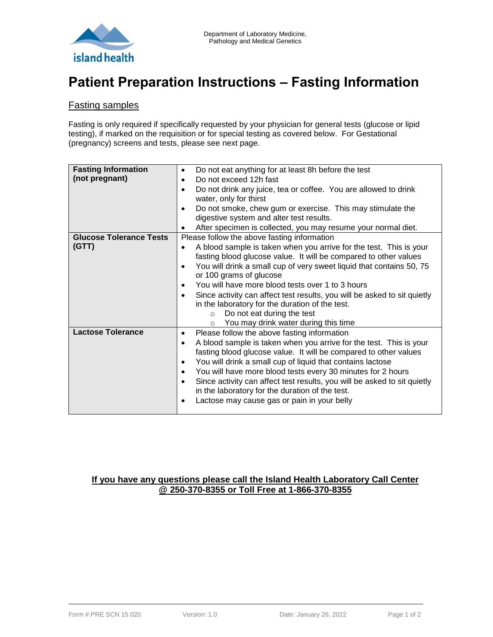

# **Patient Preparation Instructions – Fasting Information**

### Fasting samples

Fasting is only required if specifically requested by your physician for general tests (glucose or lipid testing), if marked on the requisition or for special testing as covered below. For Gestational (pregnancy) screens and tests, please see next page.

| <b>Fasting Information</b>     | ٠         | Do not eat anything for at least 8h before the test                      |
|--------------------------------|-----------|--------------------------------------------------------------------------|
| (not pregnant)                 | ٠         | Do not exceed 12h fast                                                   |
|                                | $\bullet$ | Do not drink any juice, tea or coffee. You are allowed to drink          |
|                                |           | water, only for thirst                                                   |
|                                | $\bullet$ | Do not smoke, chew gum or exercise. This may stimulate the               |
|                                |           | digestive system and alter test results.                                 |
|                                |           | After specimen is collected, you may resume your normal diet.            |
| <b>Glucose Tolerance Tests</b> |           | Please follow the above fasting information                              |
| (GTT)                          |           | A blood sample is taken when you arrive for the test. This is your       |
|                                |           | fasting blood glucose value. It will be compared to other values         |
|                                |           | You will drink a small cup of very sweet liquid that contains 50, 75     |
|                                |           | or 100 grams of glucose                                                  |
|                                | $\bullet$ | You will have more blood tests over 1 to 3 hours                         |
|                                |           | Since activity can affect test results, you will be asked to sit quietly |
|                                |           | in the laboratory for the duration of the test.                          |
|                                |           | Do not eat during the test<br>$\circ$                                    |
|                                |           | You may drink water during this time<br>$\circ$                          |
| <b>Lactose Tolerance</b>       | ٠         | Please follow the above fasting information                              |
|                                | $\bullet$ | A blood sample is taken when you arrive for the test. This is your       |
|                                |           | fasting blood glucose value. It will be compared to other values         |
|                                | $\bullet$ | You will drink a small cup of liquid that contains lactose               |
|                                | $\bullet$ | You will have more blood tests every 30 minutes for 2 hours              |
|                                |           | Since activity can affect test results, you will be asked to sit quietly |
|                                |           | in the laboratory for the duration of the test.                          |
|                                |           | Lactose may cause gas or pain in your belly                              |
|                                |           |                                                                          |

### **If you have any questions please call the Island Health Laboratory Call Center @ 250-370-8355 or Toll Free at 1-866-370-8355**